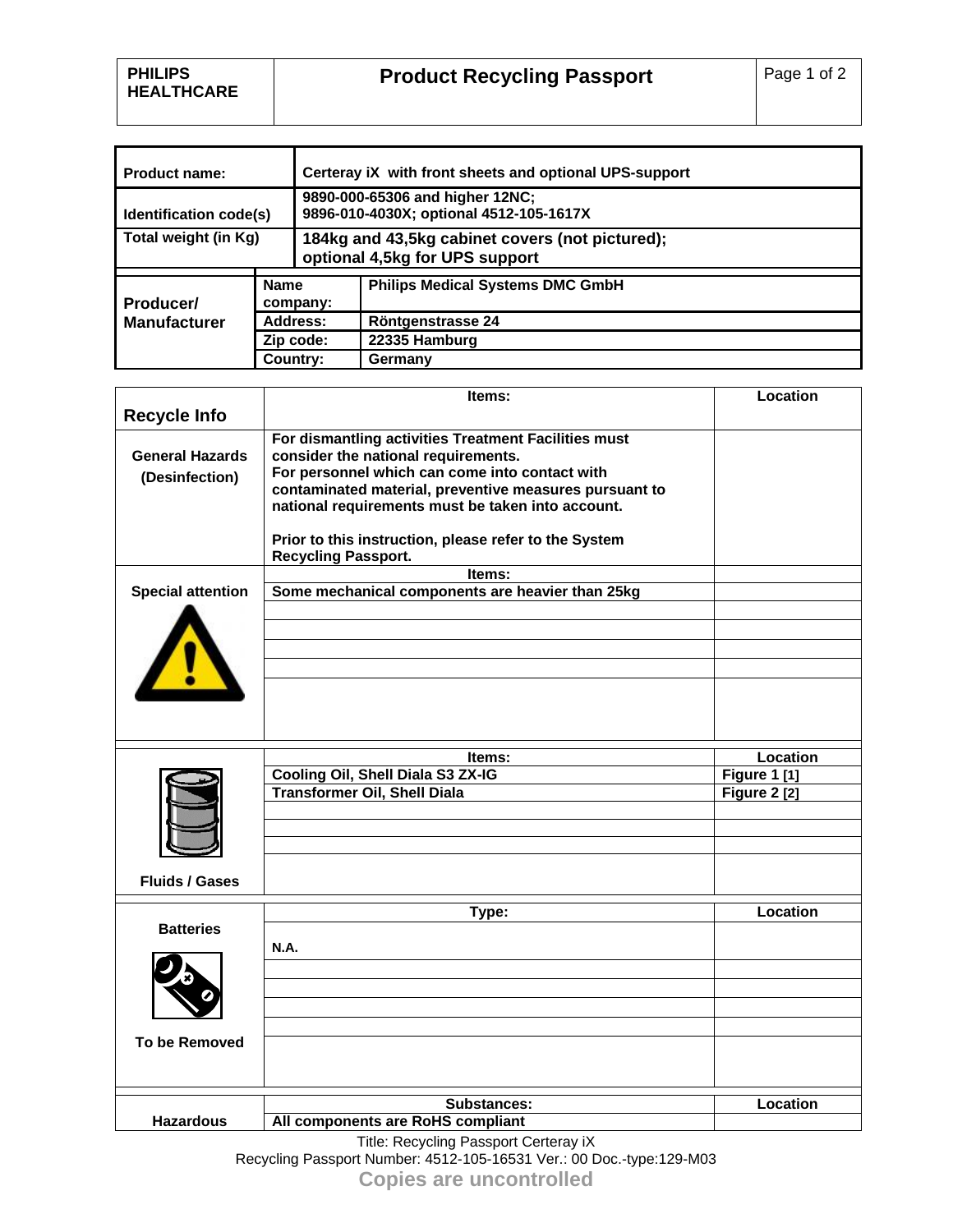| <b>Product name:</b>             |                         | Certeray iX with front sheets and optional UPS-support                            |                                         |  |
|----------------------------------|-------------------------|-----------------------------------------------------------------------------------|-----------------------------------------|--|
| Identification code(s)           |                         | 9890-000-65306 and higher 12NC;<br>9896-010-4030X; optional 4512-105-1617X        |                                         |  |
| Total weight (in Kg)             |                         | 184kg and 43,5kg cabinet covers (not pictured);<br>optional 4,5kg for UPS support |                                         |  |
| Producer/<br><b>Manufacturer</b> | <b>Name</b><br>company: |                                                                                   | <b>Philips Medical Systems DMC GmbH</b> |  |
|                                  | Address:                |                                                                                   | <b>Röntgenstrasse 24</b>                |  |
|                                  | Zip code:               |                                                                                   | 22335 Hamburg                           |  |
|                                  | Country:                |                                                                                   | Germany                                 |  |

| <b>Recycle Info</b><br>For dismantling activities Treatment Facilities must<br>consider the national requirements.<br><b>General Hazards</b><br>For personnel which can come into contact with<br>(Desinfection)<br>contaminated material, preventive measures pursuant to<br>national requirements must be taken into account.<br>Prior to this instruction, please refer to the System<br><b>Recycling Passport.</b><br>Items:<br><b>Special attention</b><br>Some mechanical components are heavier than 25kg<br>Location<br>Items:<br>Cooling Oil, Shell Diala S3 ZX-IG<br>Figure 1 [1]<br><b>Transformer Oil, Shell Diala</b><br>Figure $2$ [2]<br><b>Fluids / Gases</b><br>Location<br>Type:<br><b>Batteries</b><br><b>N.A.</b> | Items: | Location |
|---------------------------------------------------------------------------------------------------------------------------------------------------------------------------------------------------------------------------------------------------------------------------------------------------------------------------------------------------------------------------------------------------------------------------------------------------------------------------------------------------------------------------------------------------------------------------------------------------------------------------------------------------------------------------------------------------------------------------------------|--------|----------|
|                                                                                                                                                                                                                                                                                                                                                                                                                                                                                                                                                                                                                                                                                                                                       |        |          |
|                                                                                                                                                                                                                                                                                                                                                                                                                                                                                                                                                                                                                                                                                                                                       |        |          |
|                                                                                                                                                                                                                                                                                                                                                                                                                                                                                                                                                                                                                                                                                                                                       |        |          |
|                                                                                                                                                                                                                                                                                                                                                                                                                                                                                                                                                                                                                                                                                                                                       |        |          |
|                                                                                                                                                                                                                                                                                                                                                                                                                                                                                                                                                                                                                                                                                                                                       |        |          |
|                                                                                                                                                                                                                                                                                                                                                                                                                                                                                                                                                                                                                                                                                                                                       |        |          |
|                                                                                                                                                                                                                                                                                                                                                                                                                                                                                                                                                                                                                                                                                                                                       |        |          |
|                                                                                                                                                                                                                                                                                                                                                                                                                                                                                                                                                                                                                                                                                                                                       |        |          |
|                                                                                                                                                                                                                                                                                                                                                                                                                                                                                                                                                                                                                                                                                                                                       |        |          |
|                                                                                                                                                                                                                                                                                                                                                                                                                                                                                                                                                                                                                                                                                                                                       |        |          |
|                                                                                                                                                                                                                                                                                                                                                                                                                                                                                                                                                                                                                                                                                                                                       |        |          |
|                                                                                                                                                                                                                                                                                                                                                                                                                                                                                                                                                                                                                                                                                                                                       |        |          |
|                                                                                                                                                                                                                                                                                                                                                                                                                                                                                                                                                                                                                                                                                                                                       |        |          |
|                                                                                                                                                                                                                                                                                                                                                                                                                                                                                                                                                                                                                                                                                                                                       |        |          |
|                                                                                                                                                                                                                                                                                                                                                                                                                                                                                                                                                                                                                                                                                                                                       |        |          |
|                                                                                                                                                                                                                                                                                                                                                                                                                                                                                                                                                                                                                                                                                                                                       |        |          |
|                                                                                                                                                                                                                                                                                                                                                                                                                                                                                                                                                                                                                                                                                                                                       |        |          |
|                                                                                                                                                                                                                                                                                                                                                                                                                                                                                                                                                                                                                                                                                                                                       |        |          |
|                                                                                                                                                                                                                                                                                                                                                                                                                                                                                                                                                                                                                                                                                                                                       |        |          |
|                                                                                                                                                                                                                                                                                                                                                                                                                                                                                                                                                                                                                                                                                                                                       |        |          |
|                                                                                                                                                                                                                                                                                                                                                                                                                                                                                                                                                                                                                                                                                                                                       |        |          |
|                                                                                                                                                                                                                                                                                                                                                                                                                                                                                                                                                                                                                                                                                                                                       |        |          |
|                                                                                                                                                                                                                                                                                                                                                                                                                                                                                                                                                                                                                                                                                                                                       |        |          |
|                                                                                                                                                                                                                                                                                                                                                                                                                                                                                                                                                                                                                                                                                                                                       |        |          |
|                                                                                                                                                                                                                                                                                                                                                                                                                                                                                                                                                                                                                                                                                                                                       |        |          |
|                                                                                                                                                                                                                                                                                                                                                                                                                                                                                                                                                                                                                                                                                                                                       |        |          |
|                                                                                                                                                                                                                                                                                                                                                                                                                                                                                                                                                                                                                                                                                                                                       |        |          |
|                                                                                                                                                                                                                                                                                                                                                                                                                                                                                                                                                                                                                                                                                                                                       |        |          |
|                                                                                                                                                                                                                                                                                                                                                                                                                                                                                                                                                                                                                                                                                                                                       |        |          |
|                                                                                                                                                                                                                                                                                                                                                                                                                                                                                                                                                                                                                                                                                                                                       |        |          |
|                                                                                                                                                                                                                                                                                                                                                                                                                                                                                                                                                                                                                                                                                                                                       |        |          |
|                                                                                                                                                                                                                                                                                                                                                                                                                                                                                                                                                                                                                                                                                                                                       |        |          |
|                                                                                                                                                                                                                                                                                                                                                                                                                                                                                                                                                                                                                                                                                                                                       |        |          |
|                                                                                                                                                                                                                                                                                                                                                                                                                                                                                                                                                                                                                                                                                                                                       |        |          |
| <b>To be Removed</b>                                                                                                                                                                                                                                                                                                                                                                                                                                                                                                                                                                                                                                                                                                                  |        |          |
|                                                                                                                                                                                                                                                                                                                                                                                                                                                                                                                                                                                                                                                                                                                                       |        |          |
|                                                                                                                                                                                                                                                                                                                                                                                                                                                                                                                                                                                                                                                                                                                                       |        |          |
| Location<br><b>Substances:</b>                                                                                                                                                                                                                                                                                                                                                                                                                                                                                                                                                                                                                                                                                                        |        |          |
| All components are RoHS compliant<br><b>Hazardous</b><br>Title: Recycling Passport Certeray iX                                                                                                                                                                                                                                                                                                                                                                                                                                                                                                                                                                                                                                        |        |          |

Title: Recycling Passport Certeray iX Recycling Passport Number: 4512-105-16531 Ver.: 00 Doc.-type:129-M03 **Copies are uncontrolled**